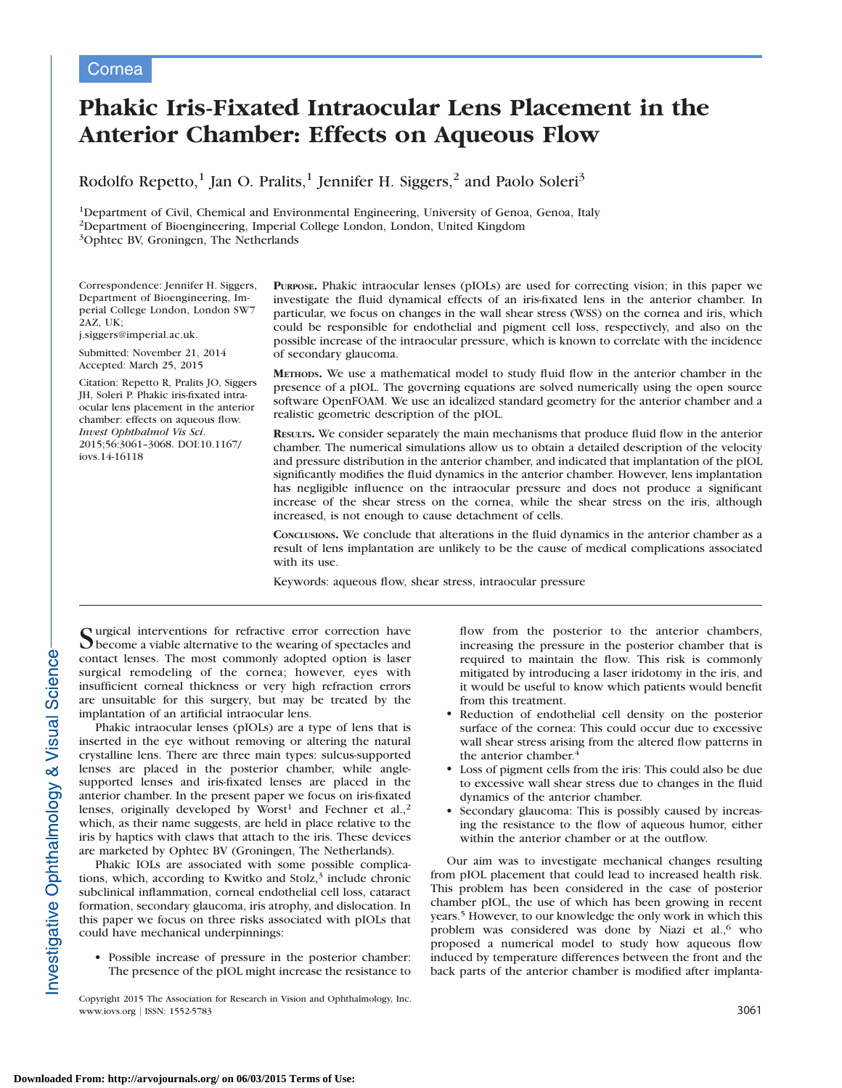# Phakic Iris-Fixated Intraocular Lens Placement in the Anterior Chamber: Effects on Aqueous Flow

Rodolfo Repetto,<sup>1</sup> Jan O. Pralits,<sup>1</sup> Jennifer H. Siggers,<sup>2</sup> and Paolo Soleri<sup>3</sup>

1Department of Civil, Chemical and Environmental Engineering, University of Genoa, Genoa, Italy 2Department of Bioengineering, Imperial College London, London, United Kingdom 3Ophtec BV, Groningen, The Netherlands

Correspondence: Jennifer H. Siggers, Department of Bioengineering, Imperial College London, London SW7 2AZ, UK; j.siggers@imperial.ac.uk.

Submitted: November 21, 2014 Accepted: March 25, 2015

Citation: Repetto R, Pralits JO, Siggers JH, Soleri P. Phakic iris-fixated intraocular lens placement in the anterior chamber: effects on aqueous flow. Invest Ophthalmol Vis Sci. 2015;56:3061–3068. DOI:10.1167/ iovs.14-16118

PURPOSE. Phakic intraocular lenses (pIOLs) are used for correcting vision; in this paper we investigate the fluid dynamical effects of an iris-fixated lens in the anterior chamber. In particular, we focus on changes in the wall shear stress (WSS) on the cornea and iris, which could be responsible for endothelial and pigment cell loss, respectively, and also on the possible increase of the intraocular pressure, which is known to correlate with the incidence of secondary glaucoma.

METHODS. We use a mathematical model to study fluid flow in the anterior chamber in the presence of a pIOL. The governing equations are solved numerically using the open source software OpenFOAM. We use an idealized standard geometry for the anterior chamber and a realistic geometric description of the pIOL.

RESULTS. We consider separately the main mechanisms that produce fluid flow in the anterior chamber. The numerical simulations allow us to obtain a detailed description of the velocity and pressure distribution in the anterior chamber, and indicated that implantation of the pIOL significantly modifies the fluid dynamics in the anterior chamber. However, lens implantation has negligible influence on the intraocular pressure and does not produce a significant increase of the shear stress on the cornea, while the shear stress on the iris, although increased, is not enough to cause detachment of cells.

CONCLUSIONS. We conclude that alterations in the fluid dynamics in the anterior chamber as a result of lens implantation are unlikely to be the cause of medical complications associated with its use.

Keywords: aqueous flow, shear stress, intraocular pressure

Surgical interventions for refractive error correction have<br>Sbecome a viable alternative to the wearing of spectacles and contact lenses. The most commonly adopted option is laser surgical remodeling of the cornea; however, eyes with insufficient corneal thickness or very high refraction errors are unsuitable for this surgery, but may be treated by the implantation of an artificial intraocular lens.

Phakic intraocular lenses (pIOLs) are a type of lens that is inserted in the eye without removing or altering the natural crystalline lens. There are three main types: sulcus-supported lenses are placed in the posterior chamber, while anglesupported lenses and iris-fixated lenses are placed in the anterior chamber. In the present paper we focus on iris-fixated lenses, originally developed by Worst<sup>1</sup> and Fechner et al.,<sup>2</sup> which, as their name suggests, are held in place relative to the iris by haptics with claws that attach to the iris. These devices are marketed by Ophtec BV (Groningen, The Netherlands).

Phakic IOLs are associated with some possible complications, which, according to Kwitko and Stolz, $3$  include chronic subclinical inflammation, corneal endothelial cell loss, cataract formation, secondary glaucoma, iris atrophy, and dislocation. In this paper we focus on three risks associated with pIOLs that could have mechanical underpinnings:

- Possible increase of pressure in the posterior chamber: The presence of the pIOL might increase the resistance to

Copyright 2015 The Association for Research in Vision and Ophthalmology, Inc. www.iovs.org | ISSN: 1552-5783 3061

flow from the posterior to the anterior chambers, increasing the pressure in the posterior chamber that is required to maintain the flow. This risk is commonly mitigated by introducing a laser iridotomy in the iris, and it would be useful to know which patients would benefit from this treatment.

- - Reduction of endothelial cell density on the posterior surface of the cornea: This could occur due to excessive wall shear stress arising from the altered flow patterns in the anterior chamber.<sup>4</sup>
- Loss of pigment cells from the iris: This could also be due to excessive wall shear stress due to changes in the fluid dynamics of the anterior chamber.
- Secondary glaucoma: This is possibly caused by increasing the resistance to the flow of aqueous humor, either within the anterior chamber or at the outflow.

Our aim was to investigate mechanical changes resulting from pIOL placement that could lead to increased health risk. This problem has been considered in the case of posterior chamber pIOL, the use of which has been growing in recent years.<sup>5</sup> However, to our knowledge the only work in which this problem was considered was done by Niazi et al.,<sup>6</sup> who proposed a numerical model to study how aqueous flow induced by temperature differences between the front and the back parts of the anterior chamber is modified after implanta-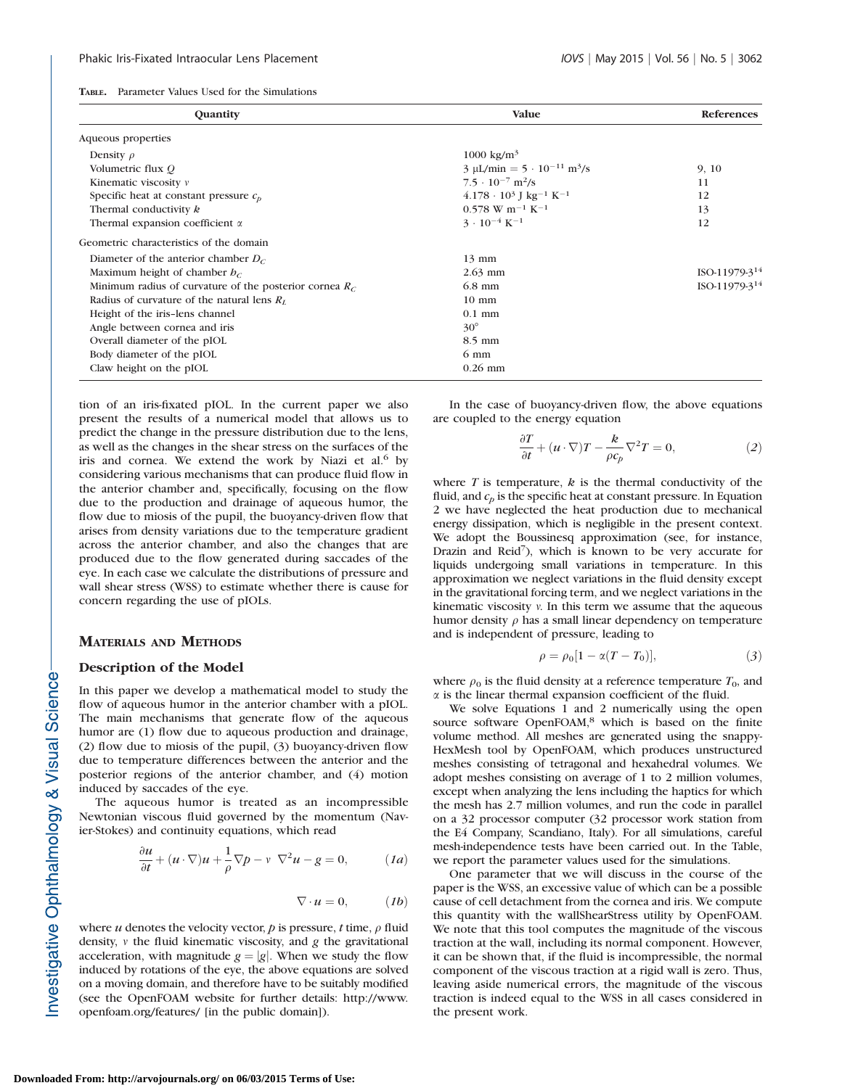| Quantity                                                  | Value                                                 | References                |
|-----------------------------------------------------------|-------------------------------------------------------|---------------------------|
| Aqueous properties                                        |                                                       |                           |
| Density $\rho$                                            | 1000 kg/m <sup>3</sup>                                |                           |
| Volumetric flux $Q$                                       | $3 \mu L/min = 5 \cdot 10^{-11} \text{ m}^3\text{/s}$ | 9, 10                     |
| Kinematic viscosity $\nu$                                 | $7.5 \cdot 10^{-7}$ m <sup>2</sup> /s                 | 11                        |
| Specific heat at constant pressure $c_n$                  | $4.178 \cdot 10^3$ J kg <sup>-1</sup> K <sup>-1</sup> | 12                        |
| Thermal conductivity k                                    | $0.578 \text{ W m}^{-1} \text{ K}^{-1}$               | 13                        |
| Thermal expansion coefficient $\alpha$                    | $3 \cdot 10^{-4}$ K <sup>-1</sup>                     | 12                        |
| Geometric characteristics of the domain                   |                                                       |                           |
| Diameter of the anterior chamber $D_c$                    | $13 \text{ mm}$                                       |                           |
| Maximum height of chamber $bc$                            | $2.63$ mm                                             | ISO-11979-3 <sup>14</sup> |
| Minimum radius of curvature of the posterior cornea $R_c$ | $6.8$ mm                                              | ISO-11979-3 <sup>14</sup> |
| Radius of curvature of the natural lens $R_t$             | $10 \text{ mm}$                                       |                           |
| Height of the iris-lens channel                           | $0.1$ mm                                              |                           |
| Angle between cornea and iris                             | $30^\circ$                                            |                           |
| Overall diameter of the pIOL                              | $8.5 \text{ mm}$                                      |                           |
| Body diameter of the pIOL                                 | $6 \text{ mm}$                                        |                           |
| Claw height on the pIOL                                   | $0.26$ mm                                             |                           |

tion of an iris-fixated pIOL. In the current paper we also present the results of a numerical model that allows us to predict the change in the pressure distribution due to the lens, as well as the changes in the shear stress on the surfaces of the iris and cornea. We extend the work by Niazi et al.<sup>6</sup> by considering various mechanisms that can produce fluid flow in the anterior chamber and, specifically, focusing on the flow due to the production and drainage of aqueous humor, the flow due to miosis of the pupil, the buoyancy-driven flow that arises from density variations due to the temperature gradient across the anterior chamber, and also the changes that are produced due to the flow generated during saccades of the eye. In each case we calculate the distributions of pressure and wall shear stress (WSS) to estimate whether there is cause for concern regarding the use of pIOLs.

#### MATERIALS AND METHODS

#### Description of the Model

In this paper we develop a mathematical model to study the flow of aqueous humor in the anterior chamber with a pIOL. The main mechanisms that generate flow of the aqueous humor are (1) flow due to aqueous production and drainage, (2) flow due to miosis of the pupil, (3) buoyancy-driven flow due to temperature differences between the anterior and the posterior regions of the anterior chamber, and (4) motion induced by saccades of the eye.

The aqueous humor is treated as an incompressible Newtonian viscous fluid governed by the momentum (Navier-Stokes) and continuity equations, which read

$$
\frac{\partial u}{\partial t} + (u \cdot \nabla)u + \frac{1}{\rho} \nabla p - v \nabla^2 u - g = 0, \qquad (1a)
$$

$$
\nabla \cdot \boldsymbol{u} = 0, \qquad (1b)
$$

where  $u$  denotes the velocity vector,  $p$  is pressure,  $t$  time,  $\rho$  fluid density,  $\nu$  the fluid kinematic viscosity, and  $g$  the gravitational acceleration, with magnitude  $g = |g|$ . When we study the flow induced by rotations of the eye, the above equations are solved on a moving domain, and therefore have to be suitably modified (see the OpenFOAM website for further details: http://www. openfoam.org/features/ [in the public domain]).

In the case of buoyancy-driven flow, the above equations are coupled to the energy equation

$$
\frac{\partial T}{\partial t} + (u \cdot \nabla)T - \frac{k}{\rho c_p} \nabla^2 T = 0,
$$
\n(2)

where  $T$  is temperature,  $k$  is the thermal conductivity of the fluid, and  $c_p$  is the specific heat at constant pressure. In Equation 2 we have neglected the heat production due to mechanical energy dissipation, which is negligible in the present context. We adopt the Boussinesq approximation (see, for instance, Drazin and Reid<sup>7</sup>), which is known to be very accurate for liquids undergoing small variations in temperature. In this approximation we neglect variations in the fluid density except in the gravitational forcing term, and we neglect variations in the kinematic viscosity  $v$ . In this term we assume that the aqueous humor density  $\rho$  has a small linear dependency on temperature and is independent of pressure, leading to

$$
\rho = \rho_0 [1 - \alpha (T - T_0)],\tag{3}
$$

where  $\rho_0$  is the fluid density at a reference temperature  $T_0$ , and  $\alpha$  is the linear thermal expansion coefficient of the fluid.

We solve Equations 1 and 2 numerically using the open source software OpenFOAM,<sup>8</sup> which is based on the finite volume method. All meshes are generated using the snappy-HexMesh tool by OpenFOAM, which produces unstructured meshes consisting of tetragonal and hexahedral volumes. We adopt meshes consisting on average of 1 to 2 million volumes, except when analyzing the lens including the haptics for which the mesh has 2.7 million volumes, and run the code in parallel on a 32 processor computer (32 processor work station from the E4 Company, Scandiano, Italy). For all simulations, careful mesh-independence tests have been carried out. In the Table, we report the parameter values used for the simulations.

One parameter that we will discuss in the course of the paper is the WSS, an excessive value of which can be a possible cause of cell detachment from the cornea and iris. We compute this quantity with the wallShearStress utility by OpenFOAM. We note that this tool computes the magnitude of the viscous traction at the wall, including its normal component. However, it can be shown that, if the fluid is incompressible, the normal component of the viscous traction at a rigid wall is zero. Thus, leaving aside numerical errors, the magnitude of the viscous traction is indeed equal to the WSS in all cases considered in the present work.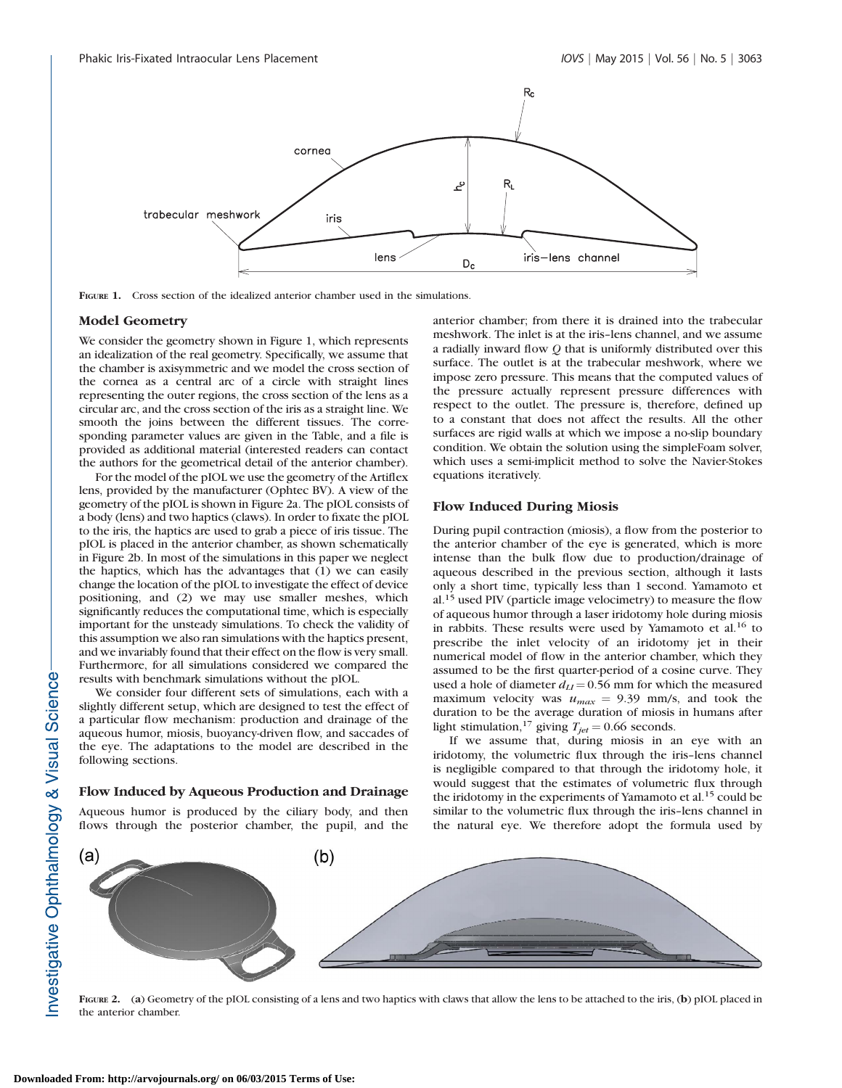

FIGURE 1. Cross section of the idealized anterior chamber used in the simulations.

#### Model Geometry

We consider the geometry shown in Figure 1, which represents an idealization of the real geometry. Specifically, we assume that the chamber is axisymmetric and we model the cross section of the cornea as a central arc of a circle with straight lines representing the outer regions, the cross section of the lens as a circular arc, and the cross section of the iris as a straight line. We smooth the joins between the different tissues. The corresponding parameter values are given in the Table, and a file is provided as additional material (interested readers can contact the authors for the geometrical detail of the anterior chamber).

For the model of the pIOL we use the geometry of the Artiflex lens, provided by the manufacturer (Ophtec BV). A view of the geometry of the pIOL is shown in Figure 2a. The pIOL consists of a body (lens) and two haptics (claws). In order to fixate the pIOL to the iris, the haptics are used to grab a piece of iris tissue. The pIOL is placed in the anterior chamber, as shown schematically in Figure 2b. In most of the simulations in this paper we neglect the haptics, which has the advantages that (1) we can easily change the location of the pIOL to investigate the effect of device positioning, and (2) we may use smaller meshes, which significantly reduces the computational time, which is especially important for the unsteady simulations. To check the validity of this assumption we also ran simulations with the haptics present, and we invariably found that their effect on the flow is very small. Furthermore, for all simulations considered we compared the results with benchmark simulations without the pIOL.

We consider four different sets of simulations, each with a slightly different setup, which are designed to test the effect of a particular flow mechanism: production and drainage of the aqueous humor, miosis, buoyancy-driven flow, and saccades of the eye. The adaptations to the model are described in the following sections.

## Flow Induced by Aqueous Production and Drainage

Aqueous humor is produced by the ciliary body, and then flows through the posterior chamber, the pupil, and the anterior chamber; from there it is drained into the trabecular meshwork. The inlet is at the iris–lens channel, and we assume a radially inward flow Q that is uniformly distributed over this surface. The outlet is at the trabecular meshwork, where we impose zero pressure. This means that the computed values of the pressure actually represent pressure differences with respect to the outlet. The pressure is, therefore, defined up to a constant that does not affect the results. All the other surfaces are rigid walls at which we impose a no-slip boundary condition. We obtain the solution using the simpleFoam solver, which uses a semi-implicit method to solve the Navier-Stokes equations iteratively.

#### Flow Induced During Miosis

During pupil contraction (miosis), a flow from the posterior to the anterior chamber of the eye is generated, which is more intense than the bulk flow due to production/drainage of aqueous described in the previous section, although it lasts only a short time, typically less than 1 second. Yamamoto et al.<sup>15</sup> used PIV (particle image velocimetry) to measure the flow of aqueous humor through a laser iridotomy hole during miosis in rabbits. These results were used by Yamamoto et al.<sup>16</sup> to prescribe the inlet velocity of an iridotomy jet in their numerical model of flow in the anterior chamber, which they assumed to be the first quarter-period of a cosine curve. They used a hole of diameter  $d_{LI} = 0.56$  mm for which the measured maximum velocity was  $u_{max} = 9.39$  mm/s, and took the duration to be the average duration of miosis in humans after light stimulation,<sup>17</sup> giving  $T_{jet} = 0.66$  seconds.

If we assume that, during miosis in an eye with an iridotomy, the volumetric flux through the iris–lens channel is negligible compared to that through the iridotomy hole, it would suggest that the estimates of volumetric flux through the iridotomy in the experiments of Yamamoto et al.<sup>15</sup> could be similar to the volumetric flux through the iris–lens channel in the natural eye. We therefore adopt the formula used by



FIGURE 2. (a) Geometry of the pIOL consisting of a lens and two haptics with claws that allow the lens to be attached to the iris, (b) pIOL placed in the anterior chamber.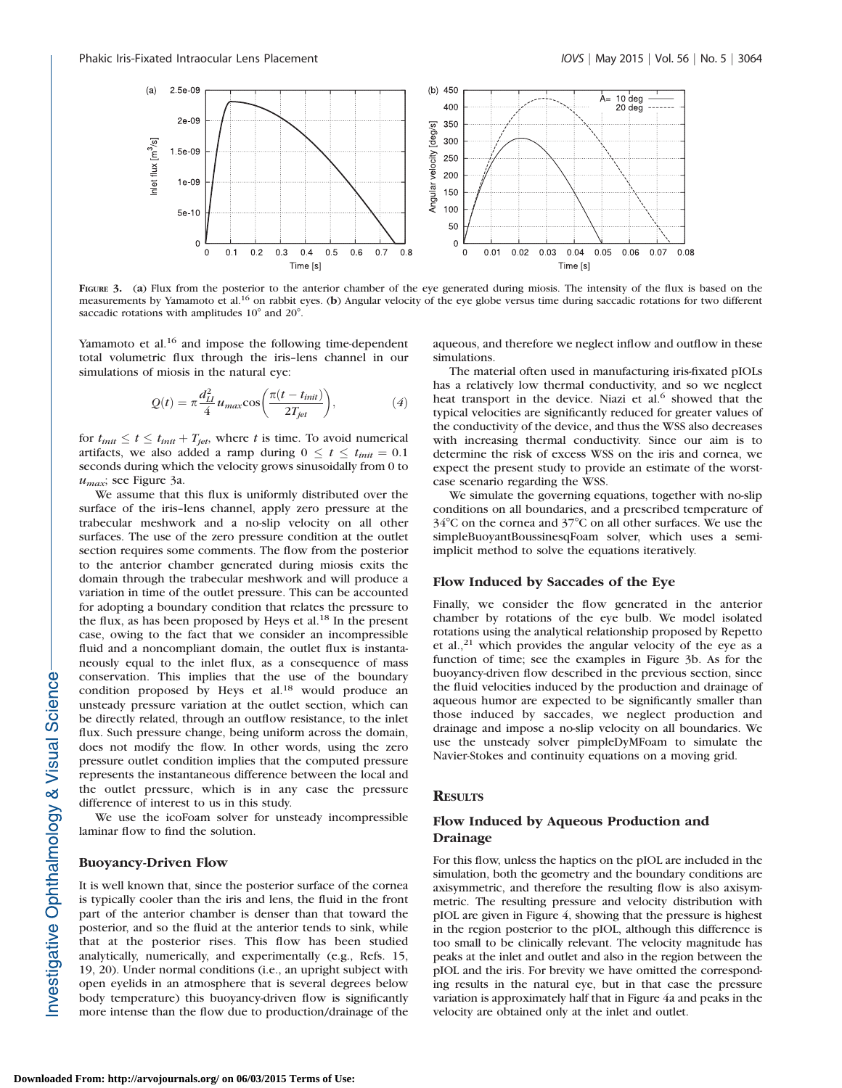

FIGURE 3. (a) Flux from the posterior to the anterior chamber of the eye generated during miosis. The intensity of the flux is based on the measurements by Yamamoto et al.16 on rabbit eyes. (b) Angular velocity of the eye globe versus time during saccadic rotations for two different saccadic rotations with amplitudes  $10^{\circ}$  and  $20^{\circ}$ .

Yamamoto et al.<sup>16</sup> and impose the following time-dependent total volumetric flux through the iris–lens channel in our simulations of miosis in the natural eye:

$$
Q(t) = \pi \frac{d_{II}^2}{4} u_{max} \cos\left(\frac{\pi (t - t_{init})}{2T_{jet}}\right),
$$
 (4)

for  $t_{init} \le t \le t_{init} + T_{jet}$ , where t is time. To avoid numerical artifacts, we also added a ramp during  $0 \le t \le t_{init} = 0.1$ seconds during which the velocity grows sinusoidally from 0 to  $u_{max}$ ; see Figure 3a.

We assume that this flux is uniformly distributed over the surface of the iris–lens channel, apply zero pressure at the trabecular meshwork and a no-slip velocity on all other surfaces. The use of the zero pressure condition at the outlet section requires some comments. The flow from the posterior to the anterior chamber generated during miosis exits the domain through the trabecular meshwork and will produce a variation in time of the outlet pressure. This can be accounted for adopting a boundary condition that relates the pressure to the flux, as has been proposed by Heys et al.<sup>18</sup> In the present case, owing to the fact that we consider an incompressible fluid and a noncompliant domain, the outlet flux is instantaneously equal to the inlet flux, as a consequence of mass conservation. This implies that the use of the boundary condition proposed by Heys et al.<sup>18</sup> would produce an unsteady pressure variation at the outlet section, which can be directly related, through an outflow resistance, to the inlet flux. Such pressure change, being uniform across the domain, does not modify the flow. In other words, using the zero pressure outlet condition implies that the computed pressure represents the instantaneous difference between the local and the outlet pressure, which is in any case the pressure difference of interest to us in this study.

We use the icoFoam solver for unsteady incompressible laminar flow to find the solution.

## Buoyancy-Driven Flow

It is well known that, since the posterior surface of the cornea is typically cooler than the iris and lens, the fluid in the front part of the anterior chamber is denser than that toward the posterior, and so the fluid at the anterior tends to sink, while that at the posterior rises. This flow has been studied analytically, numerically, and experimentally (e.g., Refs. 15, 19, 20). Under normal conditions (i.e., an upright subject with open eyelids in an atmosphere that is several degrees below body temperature) this buoyancy-driven flow is significantly more intense than the flow due to production/drainage of the aqueous, and therefore we neglect inflow and outflow in these simulations.

The material often used in manufacturing iris-fixated pIOLs has a relatively low thermal conductivity, and so we neglect heat transport in the device. Niazi et al.<sup>6</sup> showed that the typical velocities are significantly reduced for greater values of the conductivity of the device, and thus the WSS also decreases with increasing thermal conductivity. Since our aim is to determine the risk of excess WSS on the iris and cornea, we expect the present study to provide an estimate of the worstcase scenario regarding the WSS.

We simulate the governing equations, together with no-slip conditions on all boundaries, and a prescribed temperature of  $34^{\circ}$ C on the cornea and  $37^{\circ}$ C on all other surfaces. We use the simpleBuoyantBoussinesqFoam solver, which uses a semiimplicit method to solve the equations iteratively.

# Flow Induced by Saccades of the Eye

Finally, we consider the flow generated in the anterior chamber by rotations of the eye bulb. We model isolated rotations using the analytical relationship proposed by Repetto et al., $^{21}$  which provides the angular velocity of the eye as a function of time; see the examples in Figure 3b. As for the buoyancy-driven flow described in the previous section, since the fluid velocities induced by the production and drainage of aqueous humor are expected to be significantly smaller than those induced by saccades, we neglect production and drainage and impose a no-slip velocity on all boundaries. We use the unsteady solver pimpleDyMFoam to simulate the Navier-Stokes and continuity equations on a moving grid.

#### **RESULTS**

# Flow Induced by Aqueous Production and Drainage

For this flow, unless the haptics on the pIOL are included in the simulation, both the geometry and the boundary conditions are axisymmetric, and therefore the resulting flow is also axisymmetric. The resulting pressure and velocity distribution with pIOL are given in Figure 4, showing that the pressure is highest in the region posterior to the pIOL, although this difference is too small to be clinically relevant. The velocity magnitude has peaks at the inlet and outlet and also in the region between the pIOL and the iris. For brevity we have omitted the corresponding results in the natural eye, but in that case the pressure variation is approximately half that in Figure 4a and peaks in the velocity are obtained only at the inlet and outlet.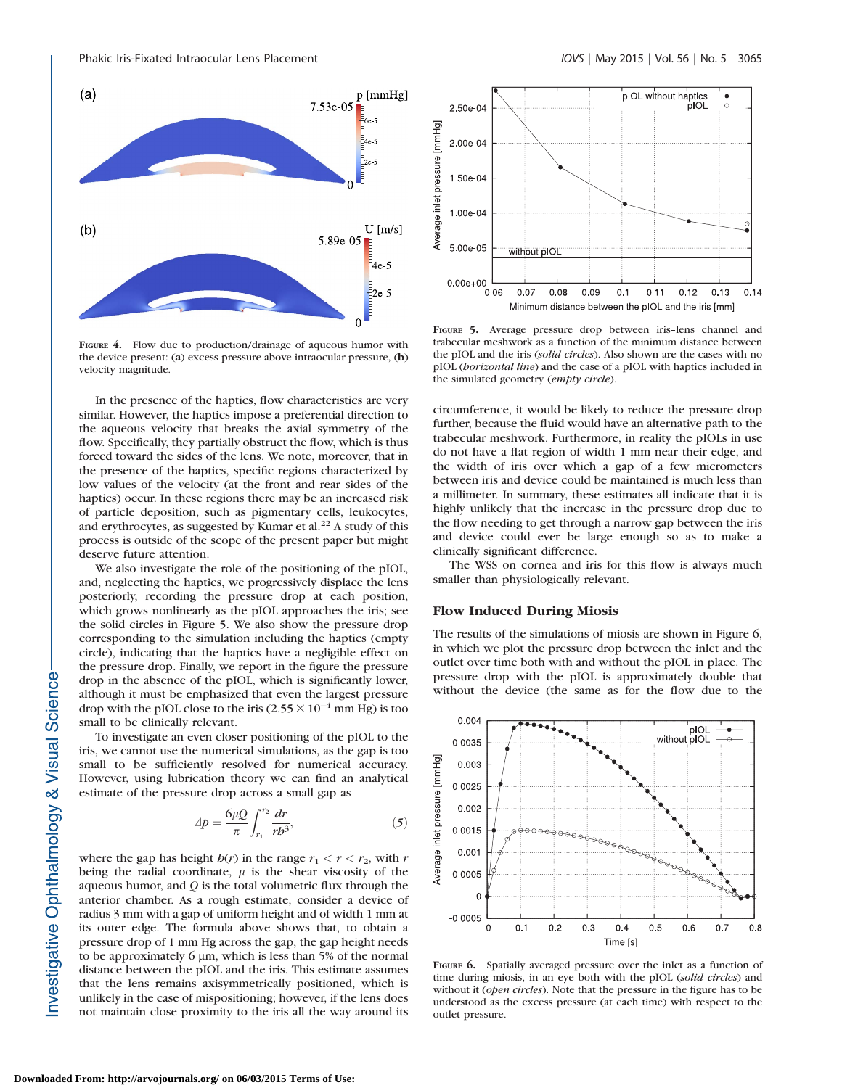

FIGURE 4. Flow due to production/drainage of aqueous humor with the device present: (a) excess pressure above intraocular pressure, (b) velocity magnitude.

In the presence of the haptics, flow characteristics are very similar. However, the haptics impose a preferential direction to the aqueous velocity that breaks the axial symmetry of the flow. Specifically, they partially obstruct the flow, which is thus forced toward the sides of the lens. We note, moreover, that in the presence of the haptics, specific regions characterized by low values of the velocity (at the front and rear sides of the haptics) occur. In these regions there may be an increased risk of particle deposition, such as pigmentary cells, leukocytes, and erythrocytes, as suggested by Kumar et al.<sup>22</sup> A study of this process is outside of the scope of the present paper but might deserve future attention.

We also investigate the role of the positioning of the pIOL, and, neglecting the haptics, we progressively displace the lens posteriorly, recording the pressure drop at each position, which grows nonlinearly as the pIOL approaches the iris; see the solid circles in Figure 5. We also show the pressure drop corresponding to the simulation including the haptics (empty circle), indicating that the haptics have a negligible effect on the pressure drop. Finally, we report in the figure the pressure drop in the absence of the pIOL, which is significantly lower, although it must be emphasized that even the largest pressure drop with the pIOL close to the iris (2.55  $\times$  10<sup>-4</sup> mm Hg) is too small to be clinically relevant.

To investigate an even closer positioning of the pIOL to the iris, we cannot use the numerical simulations, as the gap is too small to be sufficiently resolved for numerical accuracy. However, using lubrication theory we can find an analytical estimate of the pressure drop across a small gap as

$$
\Delta p = \frac{6\mu Q}{\pi} \int_{r_1}^{r_2} \frac{dr}{rb^3},\tag{5}
$$

where the gap has height  $h(r)$  in the range  $r_1 < r < r_2$ , with r being the radial coordinate,  $\mu$  is the shear viscosity of the aqueous humor, and Q is the total volumetric flux through the anterior chamber. As a rough estimate, consider a device of radius 3 mm with a gap of uniform height and of width 1 mm at its outer edge. The formula above shows that, to obtain a pressure drop of 1 mm Hg across the gap, the gap height needs to be approximately 6  $\mu$ m, which is less than 5% of the normal distance between the pIOL and the iris. This estimate assumes that the lens remains axisymmetrically positioned, which is unlikely in the case of mispositioning; however, if the lens does not maintain close proximity to the iris all the way around its



FIGURE 5. Average pressure drop between iris–lens channel and trabecular meshwork as a function of the minimum distance between the pIOL and the iris (solid circles). Also shown are the cases with no pIOL (horizontal line) and the case of a pIOL with haptics included in the simulated geometry (empty circle).

circumference, it would be likely to reduce the pressure drop further, because the fluid would have an alternative path to the trabecular meshwork. Furthermore, in reality the pIOLs in use do not have a flat region of width 1 mm near their edge, and the width of iris over which a gap of a few micrometers between iris and device could be maintained is much less than a millimeter. In summary, these estimates all indicate that it is highly unlikely that the increase in the pressure drop due to the flow needing to get through a narrow gap between the iris and device could ever be large enough so as to make a clinically significant difference.

The WSS on cornea and iris for this flow is always much smaller than physiologically relevant.

#### Flow Induced During Miosis

The results of the simulations of miosis are shown in Figure 6, in which we plot the pressure drop between the inlet and the outlet over time both with and without the pIOL in place. The pressure drop with the pIOL is approximately double that without the device (the same as for the flow due to the



FIGURE 6. Spatially averaged pressure over the inlet as a function of time during miosis, in an eye both with the pIOL (solid circles) and without it (open circles). Note that the pressure in the figure has to be understood as the excess pressure (at each time) with respect to the outlet pressure.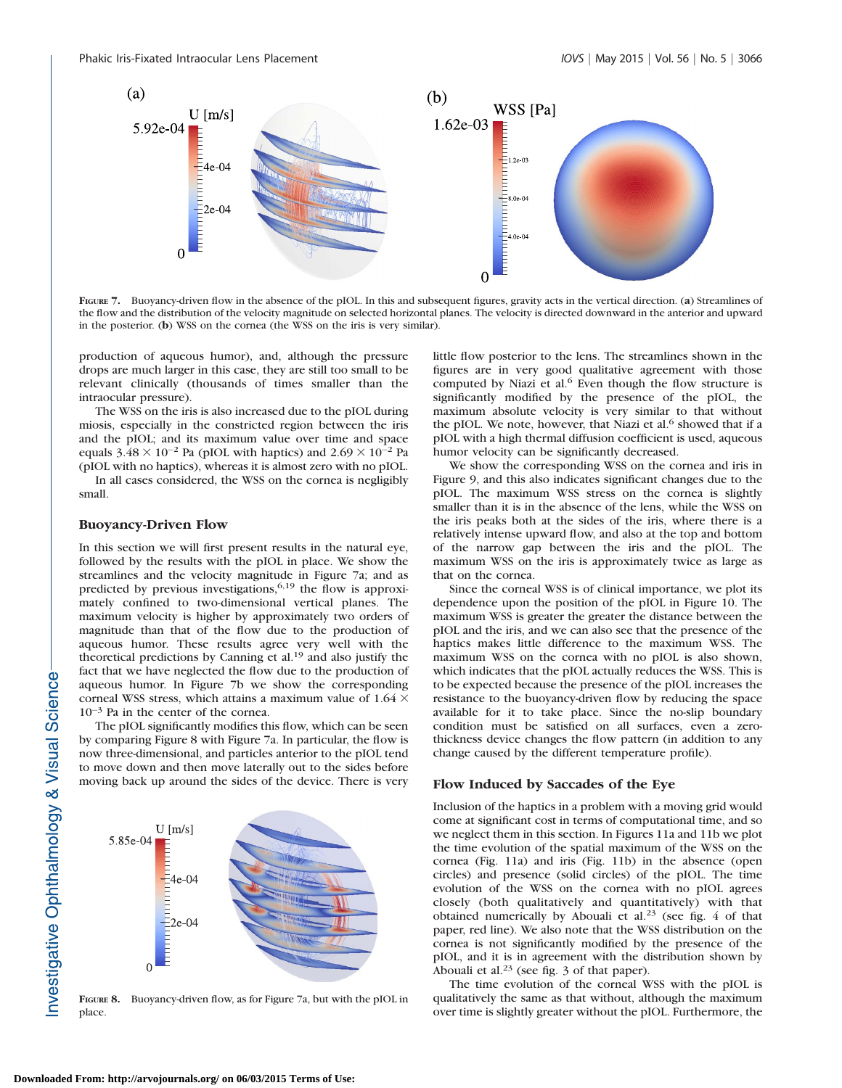

FIGURE 7. Buoyancy-driven flow in the absence of the pIOL. In this and subsequent figures, gravity acts in the vertical direction. (a) Streamlines of the flow and the distribution of the velocity magnitude on selected horizontal planes. The velocity is directed downward in the anterior and upward in the posterior. (b) WSS on the cornea (the WSS on the iris is very similar).

production of aqueous humor), and, although the pressure drops are much larger in this case, they are still too small to be relevant clinically (thousands of times smaller than the intraocular pressure).

The WSS on the iris is also increased due to the pIOL during miosis, especially in the constricted region between the iris and the pIOL; and its maximum value over time and space equals  $3.48 \times 10^{-2}$  Pa (pIOL with haptics) and  $2.69 \times 10^{-2}$  Pa (pIOL with no haptics), whereas it is almost zero with no pIOL.

In all cases considered, the WSS on the cornea is negligibly small.

#### Buoyancy-Driven Flow

In this section we will first present results in the natural eye, followed by the results with the pIOL in place. We show the streamlines and the velocity magnitude in Figure 7a; and as predicted by previous investigations,6,19 the flow is approximately confined to two-dimensional vertical planes. The maximum velocity is higher by approximately two orders of magnitude than that of the flow due to the production of aqueous humor. These results agree very well with the theoretical predictions by Canning et al.<sup>19</sup> and also justify the fact that we have neglected the flow due to the production of aqueous humor. In Figure 7b we show the corresponding corneal WSS stress, which attains a maximum value of  $1.64 \times$  $10^{-3}$  Pa in the center of the cornea.

The pIOL significantly modifies this flow, which can be seen by comparing Figure 8 with Figure 7a. In particular, the flow is now three-dimensional, and particles anterior to the pIOL tend to move down and then move laterally out to the sides before moving back up around the sides of the device. There is very



FIGURE 8. Buoyancy-driven flow, as for Figure 7a, but with the pIOL in place.

little flow posterior to the lens. The streamlines shown in the figures are in very good qualitative agreement with those computed by Niazi et al.<sup>6</sup> Even though the flow structure is significantly modified by the presence of the pIOL, the maximum absolute velocity is very similar to that without the pIOL. We note, however, that Niazi et al.<sup>6</sup> showed that if a pIOL with a high thermal diffusion coefficient is used, aqueous humor velocity can be significantly decreased.

We show the corresponding WSS on the cornea and iris in Figure 9, and this also indicates significant changes due to the pIOL. The maximum WSS stress on the cornea is slightly smaller than it is in the absence of the lens, while the WSS on the iris peaks both at the sides of the iris, where there is a relatively intense upward flow, and also at the top and bottom of the narrow gap between the iris and the pIOL. The maximum WSS on the iris is approximately twice as large as that on the cornea.

Since the corneal WSS is of clinical importance, we plot its dependence upon the position of the pIOL in Figure 10. The maximum WSS is greater the greater the distance between the pIOL and the iris, and we can also see that the presence of the haptics makes little difference to the maximum WSS. The maximum WSS on the cornea with no pIOL is also shown, which indicates that the pIOL actually reduces the WSS. This is to be expected because the presence of the pIOL increases the resistance to the buoyancy-driven flow by reducing the space available for it to take place. Since the no-slip boundary condition must be satisfied on all surfaces, even a zerothickness device changes the flow pattern (in addition to any change caused by the different temperature profile).

# Flow Induced by Saccades of the Eye

Inclusion of the haptics in a problem with a moving grid would come at significant cost in terms of computational time, and so we neglect them in this section. In Figures 11a and 11b we plot the time evolution of the spatial maximum of the WSS on the cornea (Fig. 11a) and iris (Fig. 11b) in the absence (open circles) and presence (solid circles) of the pIOL. The time evolution of the WSS on the cornea with no pIOL agrees closely (both qualitatively and quantitatively) with that obtained numerically by Abouali et al.<sup>23</sup> (see fig. 4 of that paper, red line). We also note that the WSS distribution on the cornea is not significantly modified by the presence of the pIOL, and it is in agreement with the distribution shown by Abouali et al. $23$  (see fig. 3 of that paper).

The time evolution of the corneal WSS with the pIOL is qualitatively the same as that without, although the maximum over time is slightly greater without the pIOL. Furthermore, the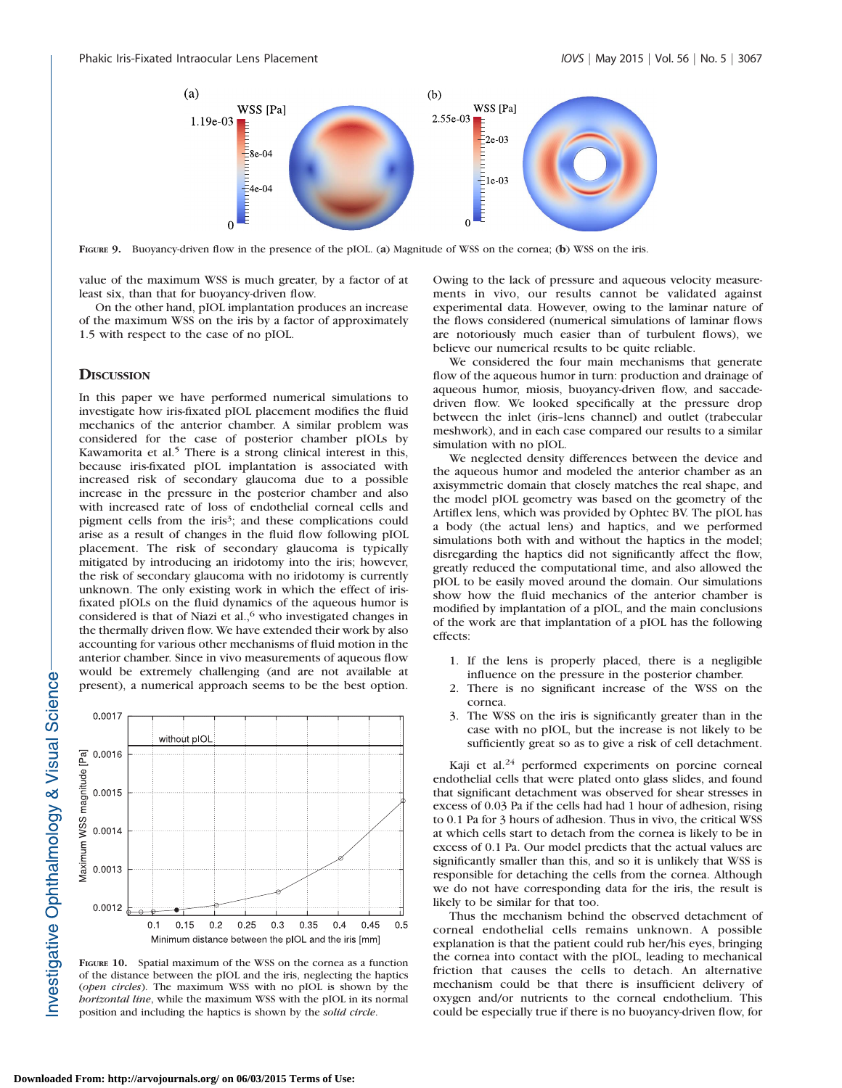

FIGURE 9. Buoyancy-driven flow in the presence of the pIOL. (a) Magnitude of WSS on the cornea; (b) WSS on the iris.

value of the maximum WSS is much greater, by a factor of at least six, than that for buoyancy-driven flow.

On the other hand, pIOL implantation produces an increase of the maximum WSS on the iris by a factor of approximately 1.5 with respect to the case of no pIOL.

#### **DISCUSSION**

In this paper we have performed numerical simulations to investigate how iris-fixated pIOL placement modifies the fluid mechanics of the anterior chamber. A similar problem was considered for the case of posterior chamber pIOLs by Kawamorita et al.<sup>5</sup> There is a strong clinical interest in this, because iris-fixated pIOL implantation is associated with increased risk of secondary glaucoma due to a possible increase in the pressure in the posterior chamber and also with increased rate of loss of endothelial corneal cells and pigment cells from the iris<sup>3</sup>; and these complications could arise as a result of changes in the fluid flow following pIOL placement. The risk of secondary glaucoma is typically mitigated by introducing an iridotomy into the iris; however, the risk of secondary glaucoma with no iridotomy is currently unknown. The only existing work in which the effect of irisfixated pIOLs on the fluid dynamics of the aqueous humor is considered is that of Niazi et al.,<sup>6</sup> who investigated changes in the thermally driven flow. We have extended their work by also accounting for various other mechanisms of fluid motion in the anterior chamber. Since in vivo measurements of aqueous flow would be extremely challenging (and are not available at present), a numerical approach seems to be the best option.



FIGURE 10. Spatial maximum of the WSS on the cornea as a function of the distance between the pIOL and the iris, neglecting the haptics (open circles). The maximum WSS with no pIOL is shown by the horizontal line, while the maximum WSS with the pIOL in its normal position and including the haptics is shown by the solid circle.

Owing to the lack of pressure and aqueous velocity measurements in vivo, our results cannot be validated against experimental data. However, owing to the laminar nature of the flows considered (numerical simulations of laminar flows are notoriously much easier than of turbulent flows), we believe our numerical results to be quite reliable.

We considered the four main mechanisms that generate flow of the aqueous humor in turn: production and drainage of aqueous humor, miosis, buoyancy-driven flow, and saccadedriven flow. We looked specifically at the pressure drop between the inlet (iris–lens channel) and outlet (trabecular meshwork), and in each case compared our results to a similar simulation with no pIOL.

We neglected density differences between the device and the aqueous humor and modeled the anterior chamber as an axisymmetric domain that closely matches the real shape, and the model pIOL geometry was based on the geometry of the Artiflex lens, which was provided by Ophtec BV. The pIOL has a body (the actual lens) and haptics, and we performed simulations both with and without the haptics in the model; disregarding the haptics did not significantly affect the flow, greatly reduced the computational time, and also allowed the pIOL to be easily moved around the domain. Our simulations show how the fluid mechanics of the anterior chamber is modified by implantation of a pIOL, and the main conclusions of the work are that implantation of a pIOL has the following effects:

- 1. If the lens is properly placed, there is a negligible influence on the pressure in the posterior chamber.
- 2. There is no significant increase of the WSS on the cornea.
- 3. The WSS on the iris is significantly greater than in the case with no pIOL, but the increase is not likely to be sufficiently great so as to give a risk of cell detachment.

Kaji et al.<sup>24</sup> performed experiments on porcine corneal endothelial cells that were plated onto glass slides, and found that significant detachment was observed for shear stresses in excess of 0.03 Pa if the cells had had 1 hour of adhesion, rising to 0.1 Pa for 3 hours of adhesion. Thus in vivo, the critical WSS at which cells start to detach from the cornea is likely to be in excess of 0.1 Pa. Our model predicts that the actual values are significantly smaller than this, and so it is unlikely that WSS is responsible for detaching the cells from the cornea. Although we do not have corresponding data for the iris, the result is likely to be similar for that too.

Thus the mechanism behind the observed detachment of corneal endothelial cells remains unknown. A possible explanation is that the patient could rub her/his eyes, bringing the cornea into contact with the pIOL, leading to mechanical friction that causes the cells to detach. An alternative mechanism could be that there is insufficient delivery of oxygen and/or nutrients to the corneal endothelium. This could be especially true if there is no buoyancy-driven flow, for